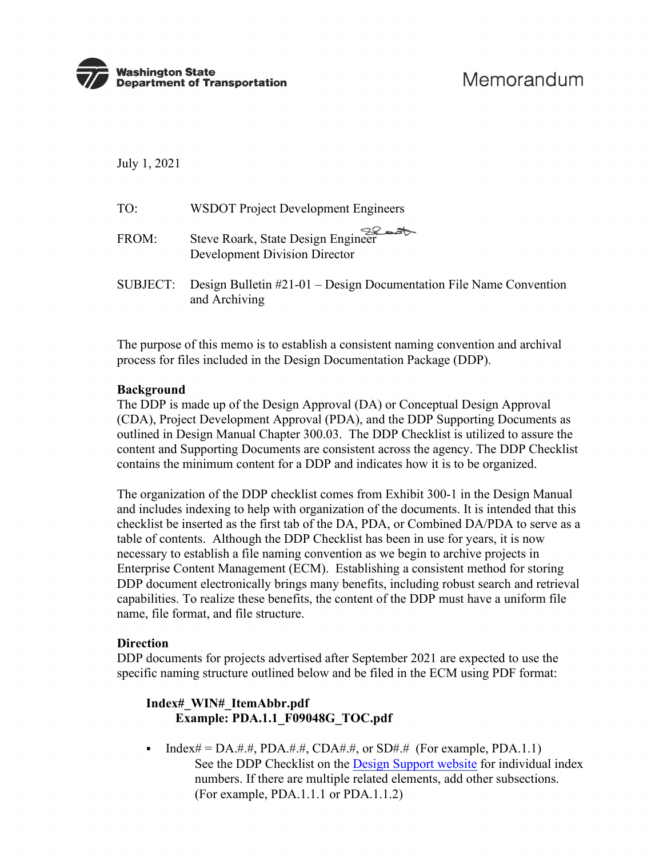

July 1, 2021

| TO:   | <b>WSDOT</b> Project Development Engineers                                                       |
|-------|--------------------------------------------------------------------------------------------------|
| FROM: | Steve Roark, State Design Engineer<br><b>Development Division Director</b>                       |
|       | $SUBJECT:$ Design Bulletin $#21-01 - Design$ Documentation File Name Convention<br>and Archiving |

The purpose of this memo is to establish a consistent naming convention and archival process for files included in the Design Documentation Package (DDP).

### **Background**

The DDP is made up of the Design Approval (DA) or Conceptual Design Approval (CDA), Project Development Approval (PDA), and the DDP Supporting Documents as outlined in Design Manual Chapter 300.03. The DDP Checklist is utilized to assure the content and Supporting Documents are consistent across the agency. The DDP Checklist contains the minimum content for a DDP and indicates how it is to be organized.

The organization of the DDP checklist comes from Exhibit 300-1 in the Design Manual and includes indexing to help with organization of the documents. It is intended that this checklist be inserted as the first tab of the DA, PDA, or Combined DA/PDA to serve as a table of contents. Although the DDP Checklist has been in use for years, it is now necessary to establish a file naming convention as we begin to archive projects in Enterprise Content Management (ECM). Establishing a consistent method for storing DDP document electronically brings many benefits, including robust search and retrieval capabilities. To realize these benefits, the content of the DDP must have a uniform file name, file format, and file structure.

#### **Direction**

DDP documents for projects advertised after September 2021 are expected to use the specific naming structure outlined below and be filed in the ECM using PDF format:

# **Index#\_WIN#\_ItemAbbr.pdf Example: PDA.1.1\_F09048G\_TOC.pdf**

 $\blacksquare$  Index# = DA.#.#, PDA.#.#, CDA#.#, or SD#.# (For example, PDA.1.1) See the DDP Checklist on the [Design Support website f](https://wsdot.wa.gov/engineering-standards/design-topics/design-tools-and-support)or individual index numbers. If there are multiple related elements, add other subsections. (For example, PDA.1.1.1 or PDA.1.1.2)